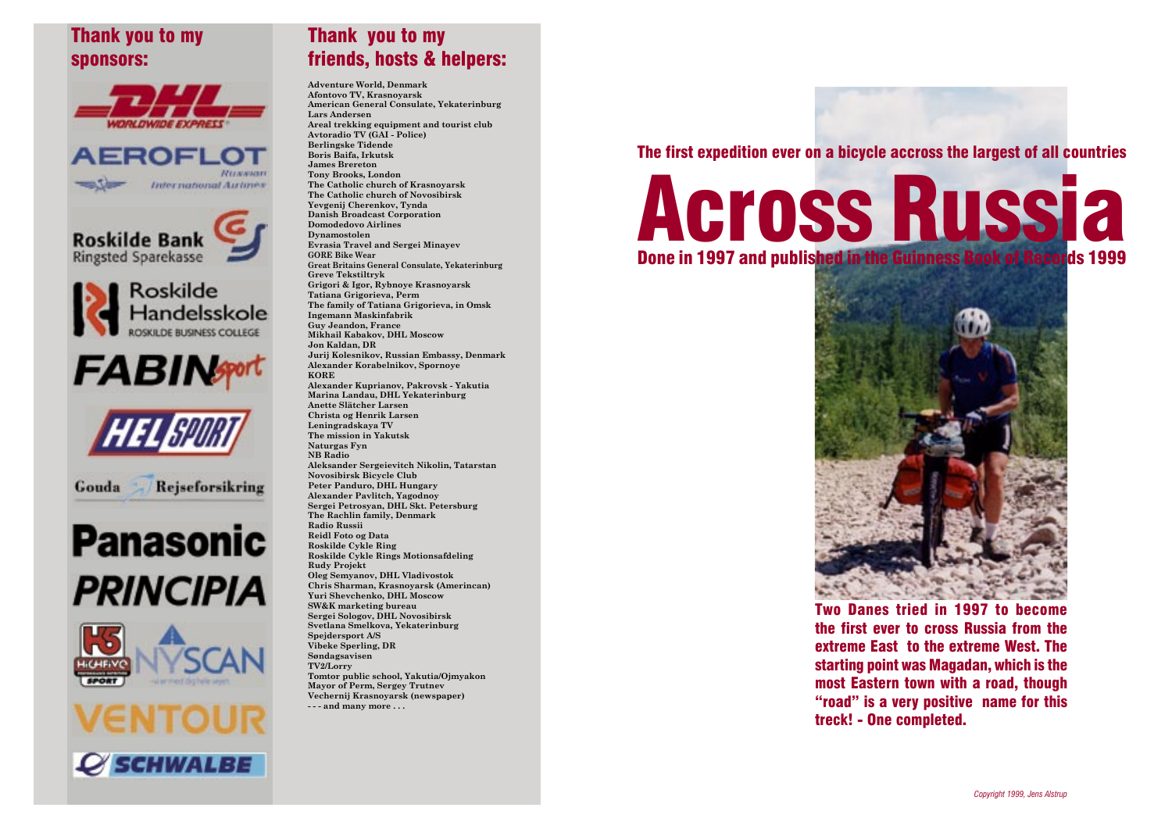# Thank you to my sponsors:









**FABINgort** 



Rejseforsikring Gouda

# **Panasonic PRINCIPIA**





### Thank you to my friends, hosts & helpers:

**Adventure World, Denmark Afontovo TV, Krasnoyarsk American General Consulate, Yekaterinburg Lars Andersen Areal trekking equipment and tourist club Avtoradio TV (GAI - Police) Berlingske Tidende Boris Baifa, Irkutsk James Brereton Tony Brooks, London The Catholic church of Krasnoyarsk The Catholic church of Novosibirsk Yevgenij Cherenkov, Tynda Danish Broadcast Corporation Domodedovo Airlines Dynamostolen Evrasia Travel and Sergei Minayev GORE Bike Wear Great Britains General Consulate, Yekaterinburg Greve Tekstiltryk Grigori & Igor, Rybnoye Krasnoyarsk Tatiana Grigorieva, Perm The family of Tatiana Grigorieva, in Omsk Ingemann Maskinfabrik Guy Jeandon, France Mikhail Kabakov, DHL Moscow Jon Kaldan, DR Jurij Kolesnikov, Russian Embassy, Denmark Alexander Korabelnikov, Spornoye KORE Alexander Kuprianov, Pakrovsk - Yakutia Marina Landau, DHL Yekaterinburg Anette Slätcher Larsen Christa og Henrik Larsen Leningradskaya TV The mission in Yakutsk Naturgas Fyn NB Radio Aleksander Sergeievitch Nikolin, Tatarstan Novosibirsk Bicycle Club Peter Panduro, DHL Hungary Alexander Pavlitch, Yagodnoy Sergei Petrosyan, DHL Skt. Petersburg The Rachlin family, Denmark Radio Russii Reidl Foto og Data Roskilde Cykle Ring Roskilde Cykle Rings Motionsafdeling Rudy Projekt Oleg Semyanov, DHL Vladivostok Chris Sharman, Krasnoyarsk (Amerincan) Yuri Shevchenko, DHL Moscow SW&K marketing bureau Sergei Sologov, DHL Novosibirsk Svetlana Smelkova, Yekaterinburg Spejdersport A/S Vibeke Sperling, DR Søndagsavisen TV2/Lorry Tomtor public school, Yakutia/Ojmyakon Mayor of Perm, Sergey Trutnev Vechernij Krasnoyarsk (newspaper) - - - and many more . . .**

The first expedition ever on a bicycle accross the largest of all countries

ACross Russia Done in 1997 and published in the Guinness



Two Danes tried in 1997 to become the first ever to cross Russia from the extreme East to the extreme West. The starting point was Magadan, which is the most Eastern town with a road, though "road" is a very positive name for this treck! - One completed.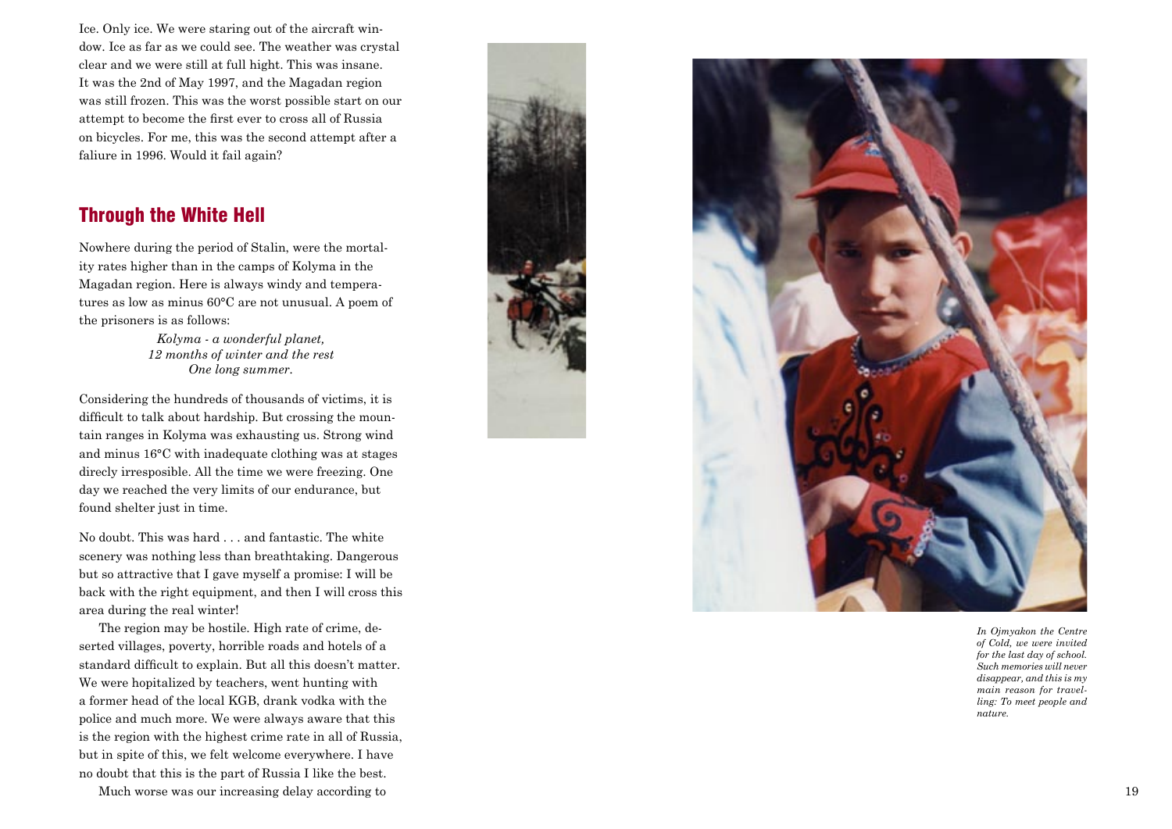Ice. Only ice. We were staring out of the aircraft win dow. Ice as far as we could see. The weather was crystal clear and we were still at full hight. This was insane. It was the 2nd of May 1997, and the Magadan region was still frozen. This was the worst possible start on our attempt to become the first ever to cross all of Russia on bicycles. For me, this was the second attempt after a faliure in 1996. Would it fail again?

### Through the White Hell

Nowhere during the period of Stalin, were the mortal ity rates higher than in the camps of Kolyma in the Magadan region. Here is always windy and tempera tures as low as minus 60°C are not unusual. A poem of the prisoners is as follows:

> *Kolyma - a wonderful planet, 12 months of winter and the rest One long summer.*

Considering the hundreds of thousands of victims, it is difficult to talk about hardship. But crossing the moun tain ranges in Kolyma was exhausting us. Strong wind and minus 16°C with inadequate clothing was at stages direcly irresposible. All the time we were freezing. One day we reached the very limits of our endurance, but found shelter just in time.

No doubt. This was hard . . . and fantastic. The white scenery was nothing less than breathtaking. Dangerous but so attractive that I gave myself a promise: I will be back with the right equipment, and then I will cross this area during the real winter!

The region may be hostile. High rate of crime, de serted villages, poverty, horrible roads and hotels of a standard difficult to explain. But all this doesn't matter. We were hopitalized by teachers, went hunting with a former head of the local KGB, drank vodka with the police and much more. We were always aware that this is the region with the highest crime rate in all of Russia, but in spite of this, we felt welcome everywhere. I have no doubt that this is the part of Russia I like the best.

Much worse was our increasing delay according to 19





*In Ojmyakon the Centre of Cold, we were invited for the last day of school. Such memories will never disappear, and this is my main reason for travel ling: To meet people and nature.*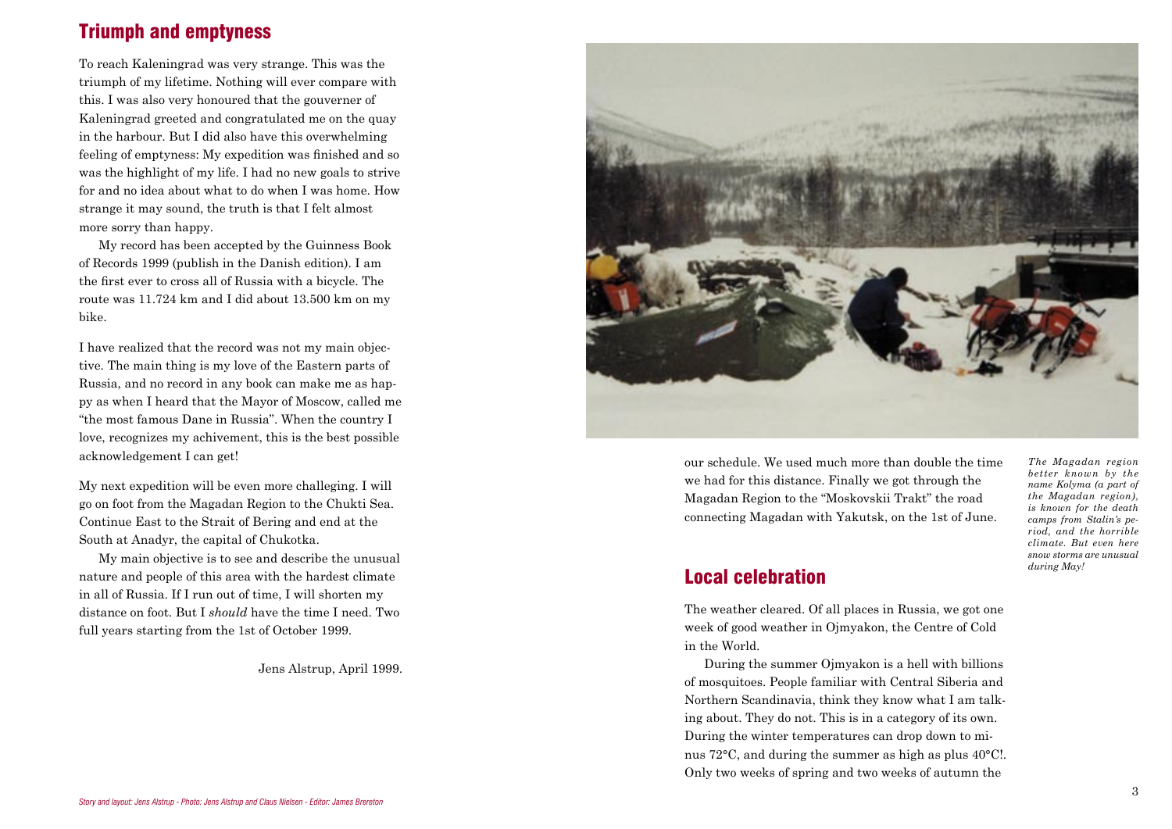## Triumph and emptyness

To reach Kaleningrad was very strange. This was the triumph of my lifetime. Nothing will ever compare with this. I was also very honoured that the gouverner of Kaleningrad greeted and congratulated me on the quay in the harbour. But I did also have this overwhelming feeling of emptyness: My expedition was finished and so was the highlight of my life. I had no new goals to strive for and no idea about what to do when I was home. How strange it may sound, the truth is that I felt almost more sorry than happy.

My record has been accepted by the Guinness Book of Records 1999 (publish in the Danish edition). I am the first ever to cross all of Russia with a bicycle. The route was 11.724 km and I did about 13.500 km on my bike.

I have realized that the record was not my main objective. The main thing is my love of the Eastern parts of Russia, and no record in any book can make me as happy as when I heard that the Mayor of Moscow, called me "the most famous Dane in Russia". When the country I love, recognizes my achivement, this is the best possible acknowledgement I can get!

My next expedition will be even more challeging. I will go on foot from the Magadan Region to the Chukti Sea. Continue East to the Strait of Bering and end at the South at Anadyr, the capital of Chukotka.

My main objective is to see and describe the unusual nature and people of this area with the hardest climate in all of Russia. If I run out of time, I will shorten my distance on foot. But I *should* have the time I need. Two full years starting from the 1st of October 1999.

Jens Alstrup, April 1999.



our schedule. We used much more than double the time we had for this distance. Finally we got through the Magadan Region to the "Moskovskii Trakt" the road connecting Magadan with Yakutsk, on the 1st of June.

*The Magadan region better known by the name Kolyma (a part of the Magadan region), is known for the death camps from Stalin's period, and the horrible climate. But even here snow storms are unusual during May!*

#### Local celebration

The weather cleared. Of all places in Russia, we got one week of good weather in Ojmyakon, the Centre of Cold in the World.

During the summer Ojmyakon is a hell with billions of mosquitoes. People familiar with Central Siberia and Northern Scandinavia, think they know what I am talking about. They do not. This is in a category of its own. During the winter temperatures can drop down to minus 72°C, and during the summer as high as plus 40°C!. Only two weeks of spring and two weeks of autumn the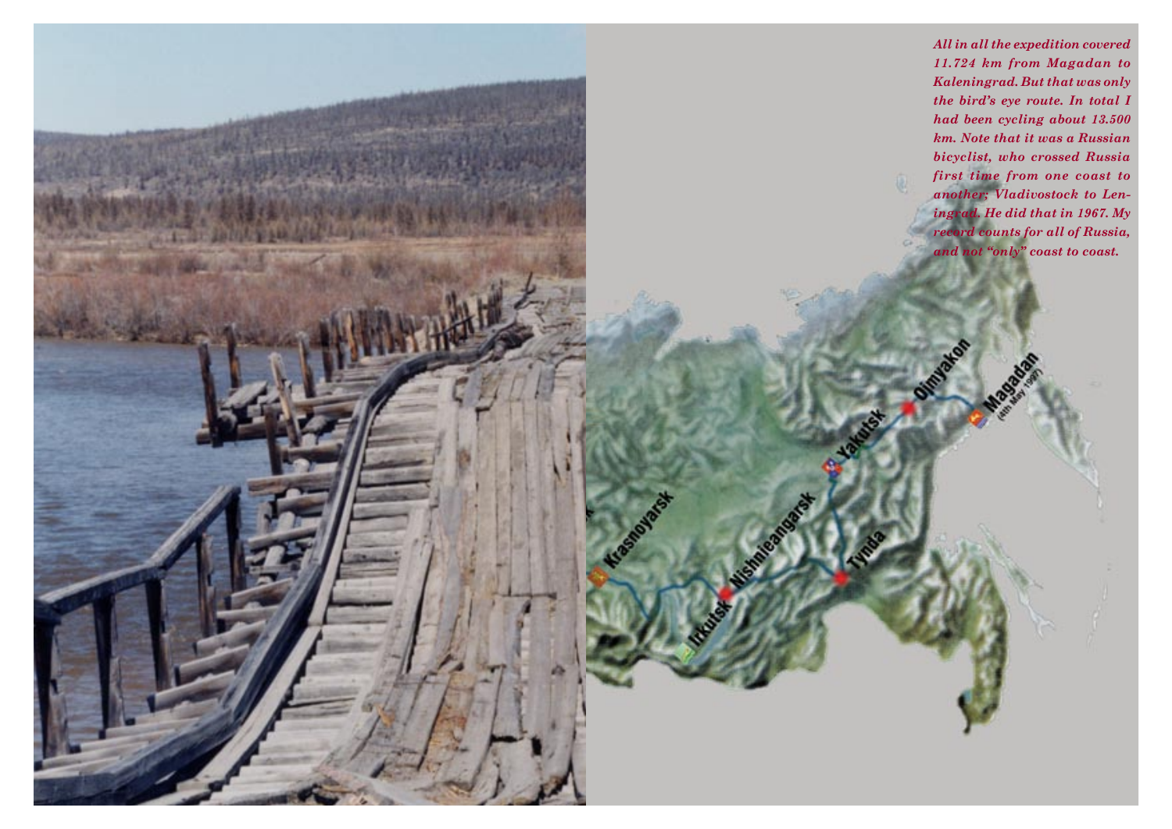*All in all the expedition covered 11.724 km from Magadan to Kaleningrad. But that was only the bird's eye route. In total I had been cycling about 13.500 km. Note that it was a Russian bicyclist, who crossed Russia first time from one coast to another; Vladivostock to Leningrad. He did that in 1967. My record counts for all of Russia, and not "only" coast to coast.*

Olimburg

Kraskabara H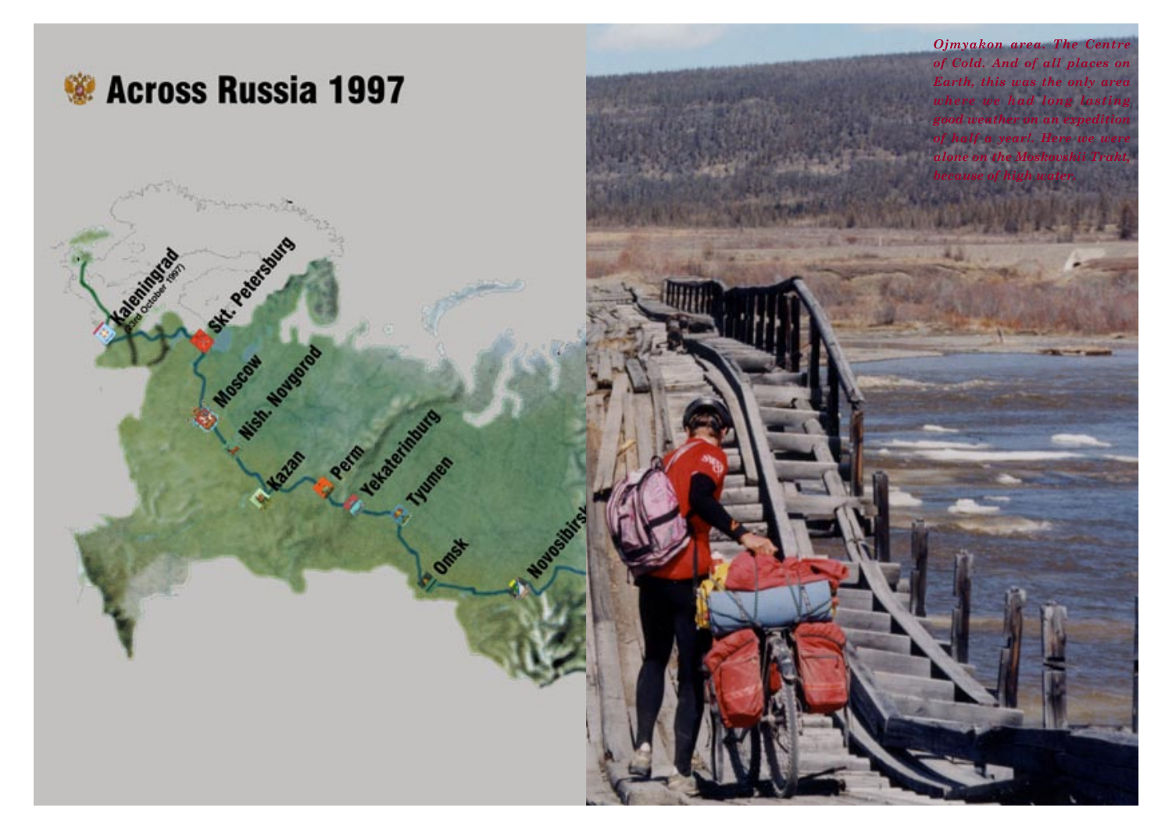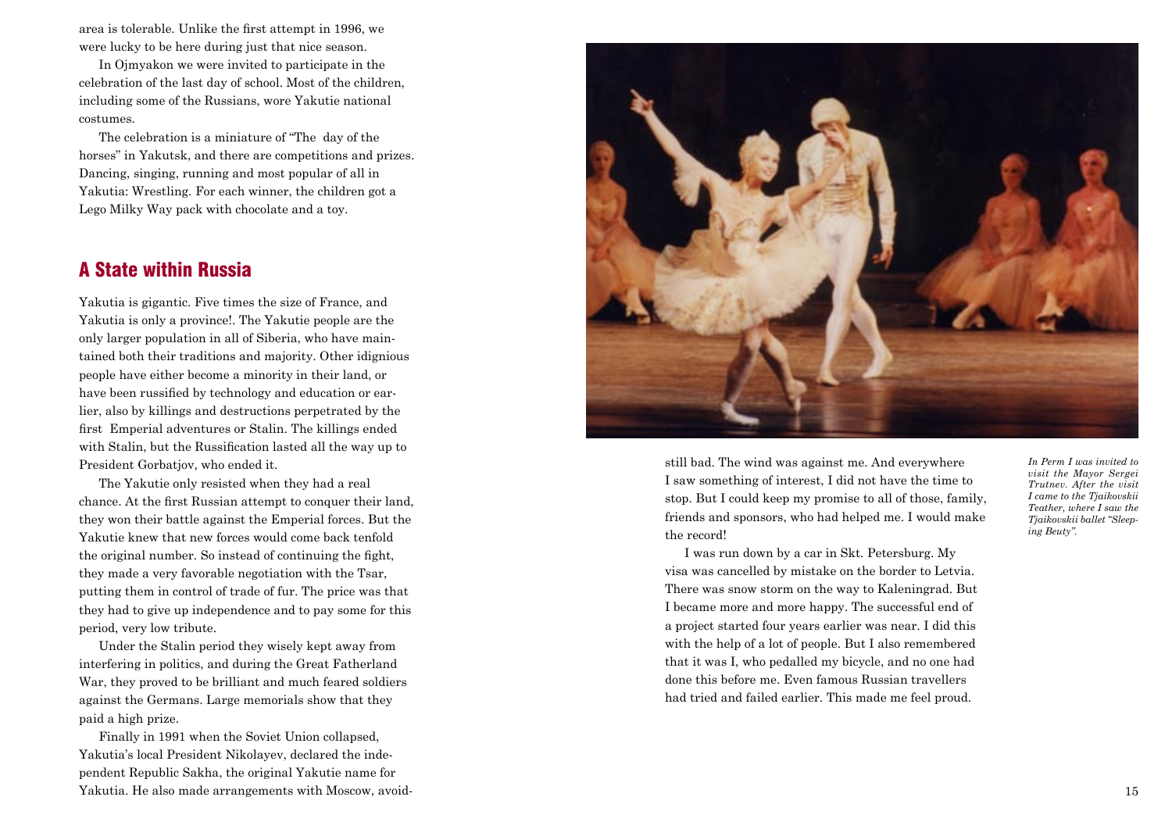area is tolerable. Unlike the first attempt in 1996, we were lucky to be here during just that nice season.

In Ojmyakon we were invited to participate in the celebration of the last day of school. Most of the children, including some of the Russians, wore Yakutie national costumes.

The celebration is a miniature of "The day of the horses" in Yakutsk, and there are competitions and prizes. Dancing, singing, running and most popular of all in Yakutia: Wrestling. For each winner, the children got a Lego Milky Way pack with chocolate and a toy.

#### A State within Russia

Yakutia is gigantic. Five times the size of France, and Yakutia is only a province!. The Yakutie people are the only larger population in all of Siberia, who have maintained both their traditions and majority. Other idignious people have either become a minority in their land, or have been russified by technology and education or earlier, also by killings and destructions perpetrated by the first Emperial adventures or Stalin. The killings ended with Stalin, but the Russification lasted all the way up to President Gorbatjov, who ended it.

The Yakutie only resisted when they had a real chance. At the first Russian attempt to conquer their land, they won their battle against the Emperial forces. But the Yakutie knew that new forces would come back tenfold the original number. So instead of continuing the fight, they made a very favorable negotiation with the Tsar, putting them in control of trade of fur. The price was that they had to give up independence and to pay some for this period, very low tribute.

Under the Stalin period they wisely kept away from interfering in politics, and during the Great Fatherland War, they proved to be brilliant and much feared soldiers against the Germans. Large memorials show that they paid a high prize.

Finally in 1991 when the Soviet Union collapsed, Yakutia's local President Nikolayev, declared the independent Republic Sakha, the original Yakutie name for Yakutia. He also made arrangements with Moscow, avoid- 15



still bad. The wind was against me. And everywhere I saw something of interest, I did not have the time to stop. But I could keep my promise to all of those, family, friends and sponsors, who had helped me. I would make the record!

I was run down by a car in Skt. Petersburg. My visa was cancelled by mistake on the border to Letvia. There was snow storm on the way to Kaleningrad. But I became more and more happy. The successful end of a project started four years earlier was near. I did this with the help of a lot of people. But I also remembered that it was I, who pedalled my bicycle, and no one had done this before me. Even famous Russian travellers had tried and failed earlier. This made me feel proud.

*In Perm I was invited to visit the Mayor Sergei Trutnev. After the visit I came to the Tjaikovskii Teather, where I saw the Tjaikovskii ballet "Sleeping Beuty".*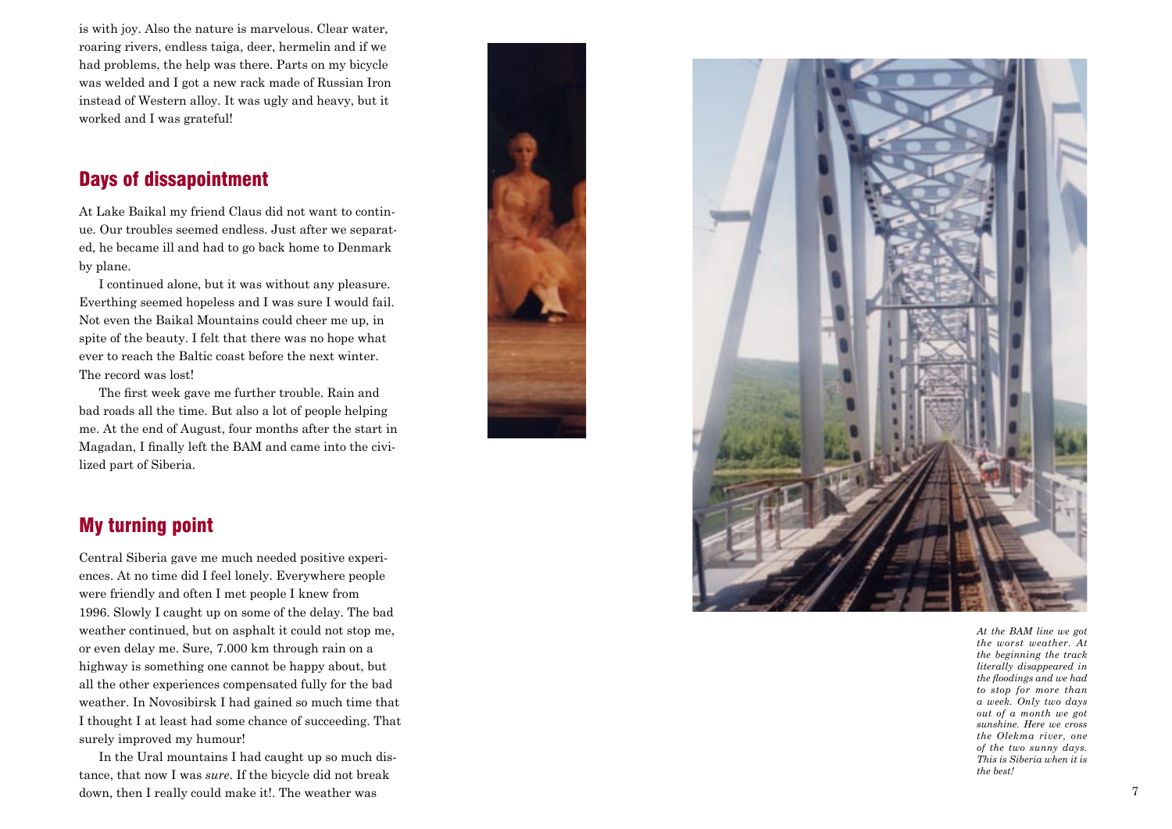is with joy. Also the nature is marvelous. Clear water, roaring rivers, endless taiga, deer, hermelin and if we had problems, the help was there. Parts on my bicycle was welded and I got a new rack made of Russian Iron instead of Western alloy. It was ugly and heavy, but it worked and I was grateful!

#### Days of dissapointment

At Lake Baikal my friend Claus did not want to contin ue. Our troubles seemed endless. Just after we separat ed, he became ill and had to go back home to Denmark by plane.

I continued alone, but it was without any pleasure. Everthing seemed hopeless and I was sure I would fail. Not even the Baikal Mountains could cheer me up, in spite of the beauty. I felt that there was no hope what ever to reach the Baltic coast before the next winter. The record was lost!

The first week gave me further trouble. Rain and bad roads all the time. But also a lot of people helping me. At the end of August, four months after the start in Magadan, I finally left the BAM and came into the civi lized part of Siberia.





*At the BAM line we got the worst weather. At the beginning the track literally disappeared in the floodings and we had to stop for more than a week. Only two days out of a month we got sunshine. Here we cross the Olekma river, one of the two sunny days. This is Siberia when it is the best!*

## My turning point

Central Siberia gave me much needed positive experi ences. At no time did I feel lonely. Everywhere people were friendly and often I met people I knew from 1996. Slowly I caught up on some of the delay. The bad weather continued, but on asphalt it could not stop me, or even delay me. Sure, 7.000 km through rain on a highway is something one cannot be happy about, but all the other experiences compensated fully for the bad weather. In Novosibirsk I had gained so much time that I thought I at least had some chance of succeeding. That surely improved my humour!

In the Ural mountains I had caught up so much dis tance, that now I was *sure*. If the bicycle did not break down, then I really could make it!. The weather was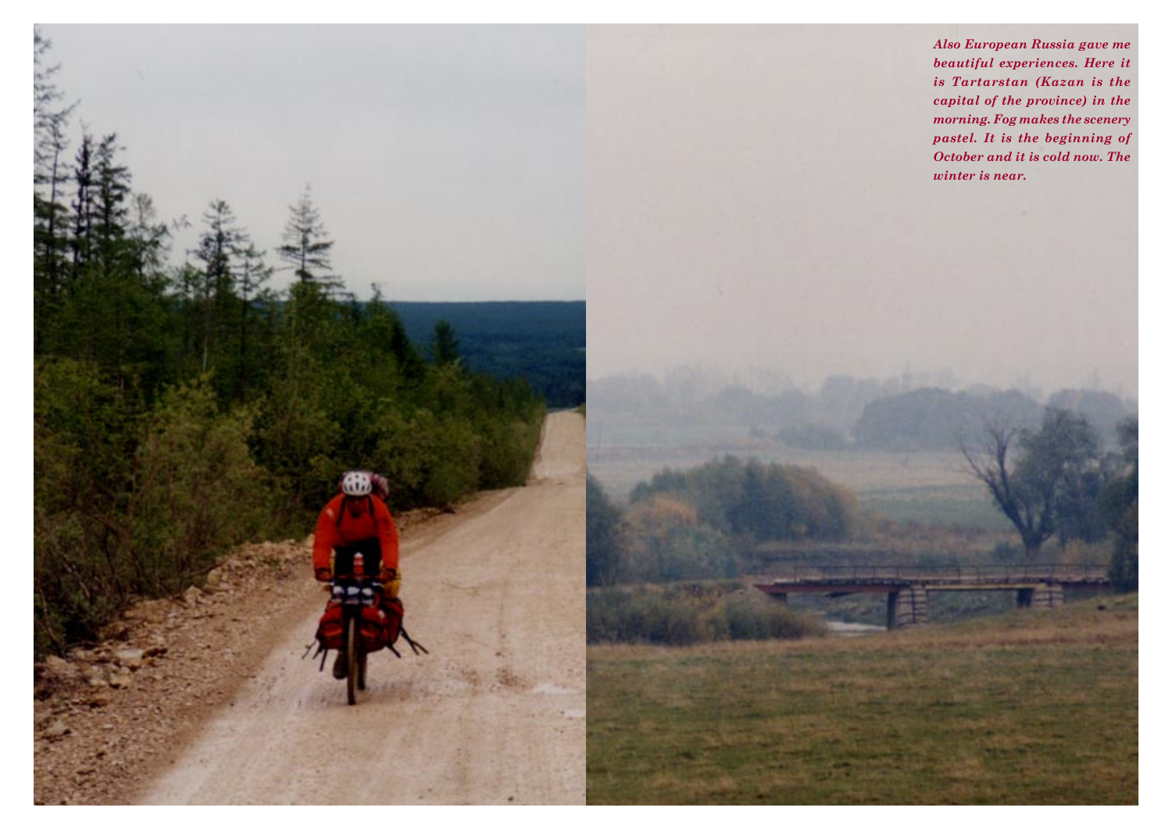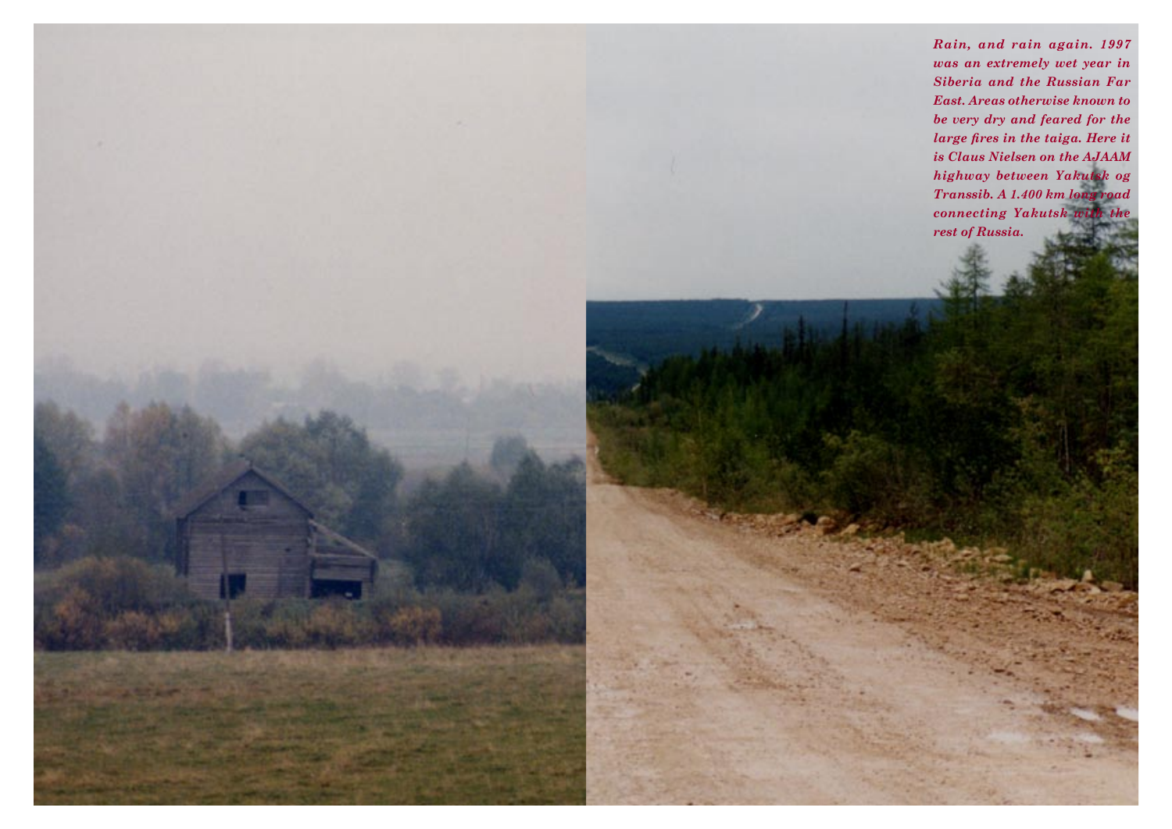*Rain, and rain again. 1997 was an extremely wet year in Siberia and the Russian Far East. Areas otherwise known to be very dry and feared for the large fires in the taiga. Here it is Claus Nielsen on the AJAAM highway between Yakutsk og Transsib. A 1.400 km long road connecting Yakutsk with the rest of Russia.*